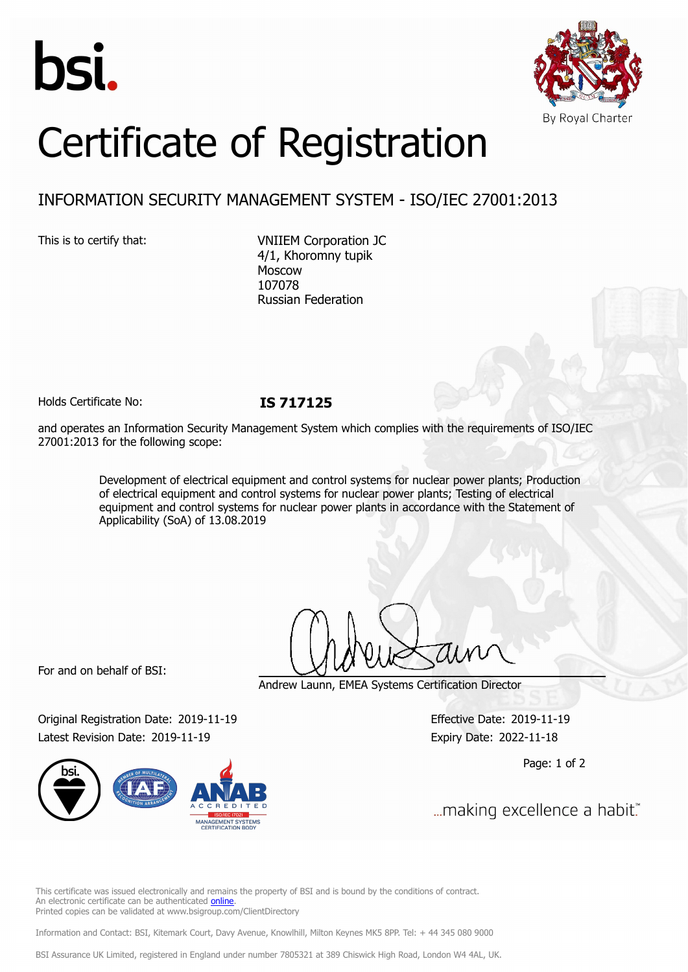



# Certificate of Registration

# INFORMATION SECURITY MANAGEMENT SYSTEM - ISO/IEC 27001:2013

This is to certify that: VNIIEM Corporation JC 4/1, Khoromny tupik Moscow 107078 Russian Federation

Holds Certificate No: **IS 717125**

and operates an Information Security Management System which complies with the requirements of ISO/IEC 27001:2013 for the following scope:

> Development of electrical equipment and control systems for nuclear power plants; Production of electrical equipment and control systems for nuclear power plants; Testing of electrical equipment and control systems for nuclear power plants in accordance with the Statement of Applicability (SoA) of 13.08.2019

For and on behalf of BSI:

Andrew Launn, EMEA Systems Certification Director

Original Registration Date: 2019-11-19 Effective Date: 2019-11-19 Latest Revision Date: 2019-11-19 Expiry Date: 2022-11-18



Page: 1 of 2

... making excellence a habit."

This certificate was issued electronically and remains the property of BSI and is bound by the conditions of contract. An electronic certificate can be authenticated [online](https://pgplus.bsigroup.com/CertificateValidation/CertificateValidator.aspx?CertificateNumber=IS+717125&ReIssueDate=19%2f11%2f2019&Template=cemea_en) Printed copies can be validated at www.bsigroup.com/ClientDirectory

Information and Contact: BSI, Kitemark Court, Davy Avenue, Knowlhill, Milton Keynes MK5 8PP. Tel: + 44 345 080 9000

BSI Assurance UK Limited, registered in England under number 7805321 at 389 Chiswick High Road, London W4 4AL, UK.